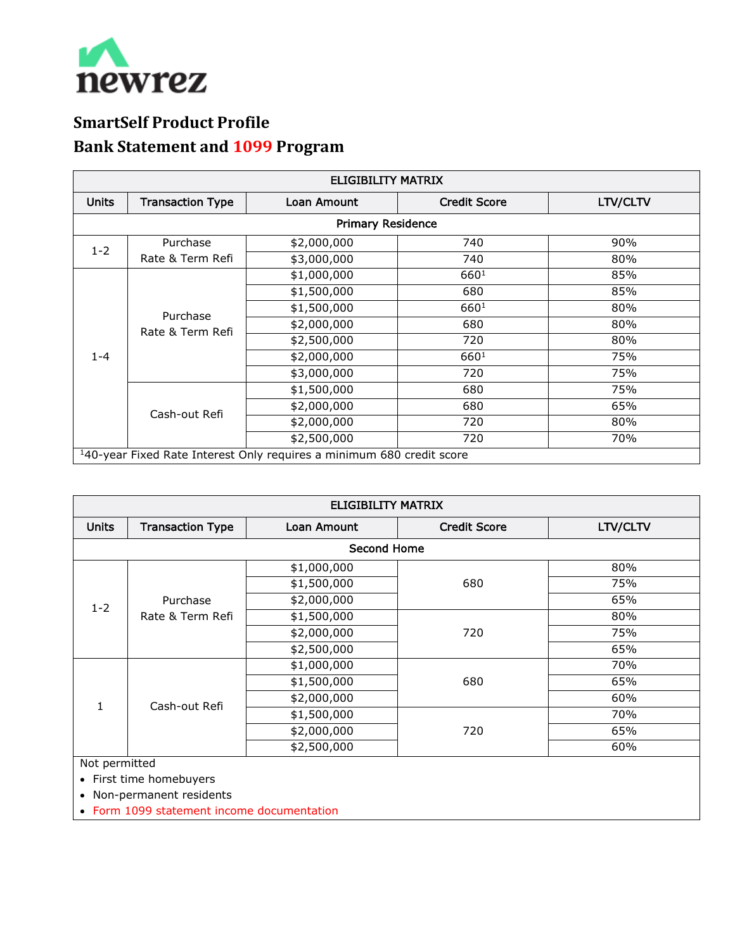

## **SmartSelf Product Profile Bank Statement and 1099 Program**

| <b>ELIGIBILITY MATRIX</b>                                                         |                              |             |                     |          |  |  |  |
|-----------------------------------------------------------------------------------|------------------------------|-------------|---------------------|----------|--|--|--|
| <b>Units</b>                                                                      | <b>Transaction Type</b>      | Loan Amount | <b>Credit Score</b> | LTV/CLTV |  |  |  |
| <b>Primary Residence</b>                                                          |                              |             |                     |          |  |  |  |
| $1 - 2$                                                                           | Purchase                     | \$2,000,000 | 740                 | 90%      |  |  |  |
|                                                                                   | Rate & Term Refi             | \$3,000,000 | 740                 | 80%      |  |  |  |
| $1 - 4$                                                                           | Purchase<br>Rate & Term Refi | \$1,000,000 | 6601                | 85%      |  |  |  |
|                                                                                   |                              | \$1,500,000 | 680                 | 85%      |  |  |  |
|                                                                                   |                              | \$1,500,000 | 660 <sup>1</sup>    | 80%      |  |  |  |
|                                                                                   |                              | \$2,000,000 | 680                 | 80%      |  |  |  |
|                                                                                   |                              | \$2,500,000 | 720                 | 80%      |  |  |  |
|                                                                                   |                              | \$2,000,000 | 6601                | 75%      |  |  |  |
|                                                                                   |                              | \$3,000,000 | 720                 | 75%      |  |  |  |
|                                                                                   | Cash-out Refi                | \$1,500,000 | 680                 | 75%      |  |  |  |
|                                                                                   |                              | \$2,000,000 | 680                 | 65%      |  |  |  |
|                                                                                   |                              | \$2,000,000 | 720                 | 80%      |  |  |  |
|                                                                                   |                              | \$2,500,000 | 720                 | 70%      |  |  |  |
| <sup>1</sup> 40-year Fixed Rate Interest Only requires a minimum 680 credit score |                              |             |                     |          |  |  |  |

| <b>ELIGIBILITY MATRIX</b> |                              |             |                     |          |  |  |  |
|---------------------------|------------------------------|-------------|---------------------|----------|--|--|--|
| <b>Units</b>              | <b>Transaction Type</b>      | Loan Amount | <b>Credit Score</b> | LTV/CLTV |  |  |  |
| <b>Second Home</b>        |                              |             |                     |          |  |  |  |
| $1 - 2$                   | Purchase<br>Rate & Term Refi | \$1,000,000 | 680                 | 80%      |  |  |  |
|                           |                              | \$1,500,000 |                     | 75%      |  |  |  |
|                           |                              | \$2,000,000 |                     | 65%      |  |  |  |
|                           |                              | \$1,500,000 | 720                 | 80%      |  |  |  |
|                           |                              | \$2,000,000 |                     | 75%      |  |  |  |
|                           |                              | \$2,500,000 |                     | 65%      |  |  |  |
|                           | Cash-out Refi                | \$1,000,000 | 680                 | 70%      |  |  |  |
|                           |                              | \$1,500,000 |                     | 65%      |  |  |  |
|                           |                              | \$2,000,000 |                     | 60%      |  |  |  |
|                           |                              | \$1,500,000 | 720                 | 70%      |  |  |  |
|                           |                              | \$2,000,000 |                     | 65%      |  |  |  |
|                           |                              | \$2,500,000 |                     | 60%      |  |  |  |
| Not permitted             |                              |             |                     |          |  |  |  |

• First time homebuyers

• Non-permanent residents

• Form 1099 statement income documentation